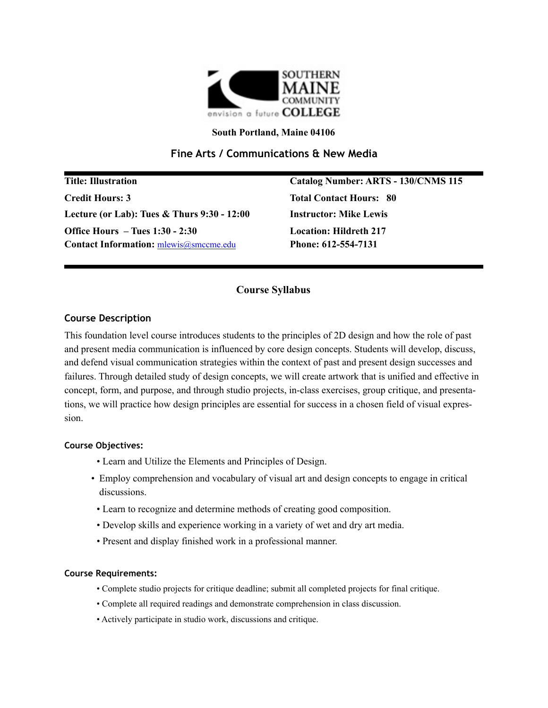

#### **South Portland, Maine 04106**

# **Fine Arts / Communications & New Media**

**Title: Illustration Catalog Number: ARTS - 130/CNMS 115 Credit Hours: 3 Total Contact Hours: 80 Lecture (or Lab): Tues & Thurs 9:30 - 12:00 Instructor: Mike Lewis Office Hours – Tues 1:30 - 2:30 Location: Hildreth 217** Contact Information:  $m$ lewis@smccme.edu Phone: 612-554-7131

## **Course Syllabus**

#### **Course Description**

This foundation level course introduces students to the principles of 2D design and how the role of past and present media communication is influenced by core design concepts. Students will develop, discuss, and defend visual communication strategies within the context of past and present design successes and failures. Through detailed study of design concepts, we will create artwork that is unified and effective in concept, form, and purpose, and through studio projects, in-class exercises, group critique, and presentations, we will practice how design principles are essential for success in a chosen field of visual expression.

#### **Course Objectives:**

- Learn and Utilize the Elements and Principles of Design.
- Employ comprehension and vocabulary of visual art and design concepts to engage in critical discussions.
- Learn to recognize and determine methods of creating good composition.
- Develop skills and experience working in a variety of wet and dry art media.
- Present and display finished work in a professional manner.

#### **Course Requirements:**

- Complete studio projects for critique deadline; submit all completed projects for final critique.
- Complete all required readings and demonstrate comprehension in class discussion.
- Actively participate in studio work, discussions and critique.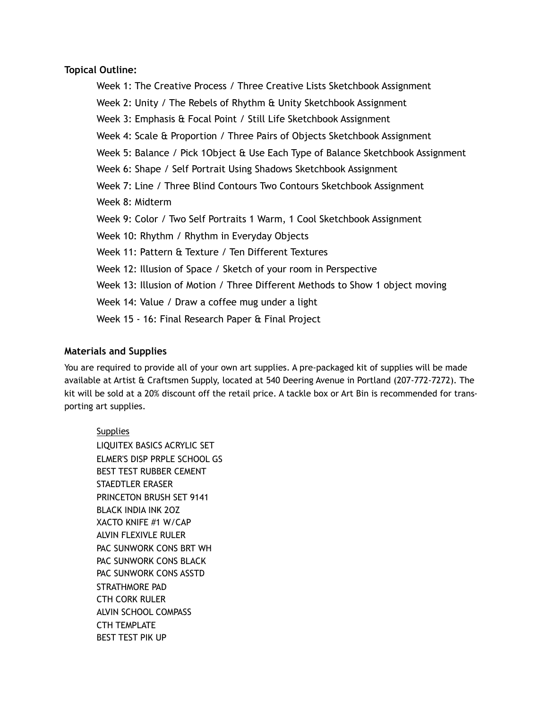### **Topical Outline:**

Week 1: The Creative Process / Three Creative Lists Sketchbook Assignment Week 2: Unity / The Rebels of Rhythm & Unity Sketchbook Assignment Week 3: Emphasis & Focal Point / Still Life Sketchbook Assignment Week 4: Scale & Proportion / Three Pairs of Objects Sketchbook Assignment Week 5: Balance / Pick 1Object & Use Each Type of Balance Sketchbook Assignment Week 6: Shape / Self Portrait Using Shadows Sketchbook Assignment Week 7: Line / Three Blind Contours Two Contours Sketchbook Assignment Week 8: Midterm Week 9: Color / Two Self Portraits 1 Warm, 1 Cool Sketchbook Assignment Week 10: Rhythm / Rhythm in Everyday Objects Week 11: Pattern & Texture / Ten Different Textures Week 12: Illusion of Space / Sketch of your room in Perspective Week 13: Illusion of Motion / Three Different Methods to Show 1 object moving Week 14: Value / Draw a coffee mug under a light Week 15 - 16: Final Research Paper & Final Project

## **Materials and Supplies**

You are required to provide all of your own art supplies. A pre-packaged kit of supplies will be made available at Artist & Craftsmen Supply, located at 540 Deering Avenue in Portland (207-772-7272). The kit will be sold at a 20% discount off the retail price. A tackle box or Art Bin is recommended for transporting art supplies.

**Supplies** LIQUITEX BASICS ACRYLIC SET ELMER'S DISP PRPLE SCHOOL GS BEST TEST RUBBER CEMENT STAEDTLER ERASER PRINCETON BRUSH SET 9141 BLACK INDIA INK 2OZ XACTO KNIFE #1 W/CAP ALVIN FLEXIVLE RULER PAC SUNWORK CONS BRT WH PAC SUNWORK CONS BLACK PAC SUNWORK CONS ASSTD STRATHMORE PAD CTH CORK RULER ALVIN SCHOOL COMPASS CTH TEMPLATE BEST TEST PIK UP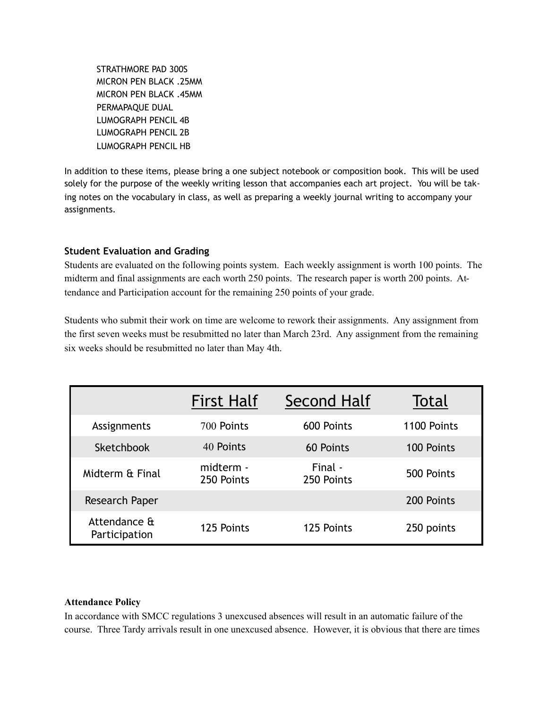STRATHMORE PAD 300S MICRON PEN BLACK .25MM MICRON PEN BLACK .45MM PERMAPAQUE DUAL LUMOGRAPH PENCIL 4B LUMOGRAPH PENCIL 2B LUMOGRAPH PENCIL HB

In addition to these items, please bring a one subject notebook or composition book. This will be used solely for the purpose of the weekly writing lesson that accompanies each art project. You will be taking notes on the vocabulary in class, as well as preparing a weekly journal writing to accompany your assignments.

### **Student Evaluation and Grading**

Students are evaluated on the following points system. Each weekly assignment is worth 100 points. The midterm and final assignments are each worth 250 points. The research paper is worth 200 points. Attendance and Participation account for the remaining 250 points of your grade.

Students who submit their work on time are welcome to rework their assignments. Any assignment from the first seven weeks must be resubmitted no later than March 23rd. Any assignment from the remaining six weeks should be resubmitted no later than May 4th.

|                               | <b>First Half</b>       | Second Half           | <b>Total</b> |
|-------------------------------|-------------------------|-----------------------|--------------|
| Assignments                   | 700 Points              | 600 Points            | 1100 Points  |
| Sketchbook                    | 40 Points               | 60 Points             | 100 Points   |
| Midterm & Final               | midterm -<br>250 Points | Final -<br>250 Points | 500 Points   |
| Research Paper                |                         |                       | 200 Points   |
| Attendance &<br>Participation | 125 Points              | 125 Points            | 250 points   |

#### **Attendance Policy**

In accordance with SMCC regulations 3 unexcused absences will result in an automatic failure of the course. Three Tardy arrivals result in one unexcused absence. However, it is obvious that there are times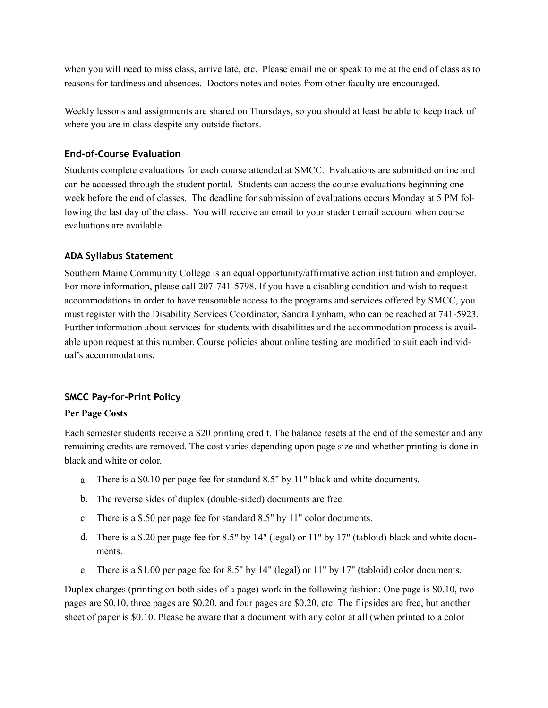when you will need to miss class, arrive late, etc. Please email me or speak to me at the end of class as to reasons for tardiness and absences. Doctors notes and notes from other faculty are encouraged.

Weekly lessons and assignments are shared on Thursdays, so you should at least be able to keep track of where you are in class despite any outside factors.

# **End-of-Course Evaluation**

Students complete evaluations for each course attended at SMCC. Evaluations are submitted online and can be accessed through the student portal. Students can access the course evaluations beginning one week before the end of classes. The deadline for submission of evaluations occurs Monday at 5 PM following the last day of the class. You will receive an email to your student email account when course evaluations are available.

# **ADA Syllabus Statement**

Southern Maine Community College is an equal opportunity/affirmative action institution and employer. For more information, please call 207-741-5798. If you have a disabling condition and wish to request accommodations in order to have reasonable access to the programs and services offered by SMCC, you must register with the Disability Services Coordinator, Sandra Lynham, who can be reached at 741-5923. Further information about services for students with disabilities and the accommodation process is available upon request at this number. Course policies about online testing are modified to suit each individual's accommodations.

# **SMCC Pay-for-Print Policy**

# **Per Page Costs**

Each semester students receive a \$20 printing credit. The balance resets at the end of the semester and any remaining credits are removed. The cost varies depending upon page size and whether printing is done in black and white or color.

- a. There is a \$0.10 per page fee for standard 8.5" by 11" black and white documents.
- b. The reverse sides of duplex (double-sided) documents are free.
- c. There is a \$.50 per page fee for standard 8.5" by 11" color documents.
- d. There is a \$.20 per page fee for 8.5" by 14" (legal) or 11" by 17" (tabloid) black and white documents.
- e. There is a \$1.00 per page fee for 8.5" by 14" (legal) or 11" by 17" (tabloid) color documents.

Duplex charges (printing on both sides of a page) work in the following fashion: One page is \$0.10, two pages are \$0.10, three pages are \$0.20, and four pages are \$0.20, etc. The flipsides are free, but another sheet of paper is \$0.10. Please be aware that a document with any color at all (when printed to a color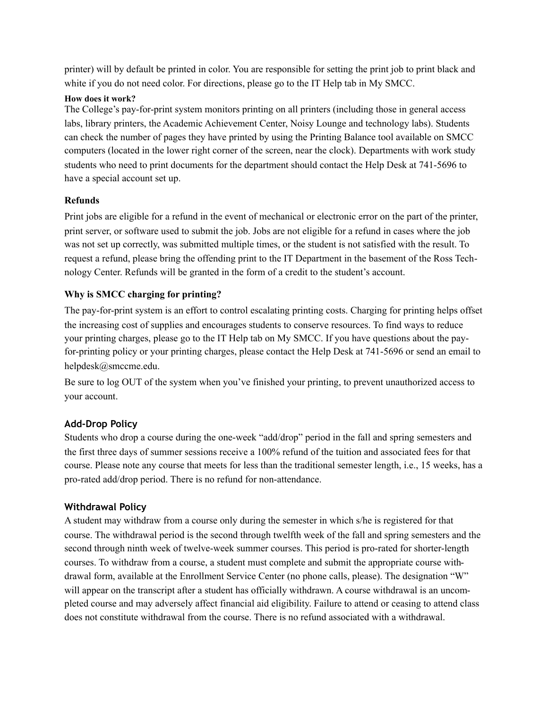printer) will by default be printed in color. You are responsible for setting the print job to print black and white if you do not need color. For directions, please go to the IT Help tab in My SMCC.

## **How does it work?**

The College's pay-for-print system monitors printing on all printers (including those in general access labs, library printers, the Academic Achievement Center, Noisy Lounge and technology labs). Students can check the number of pages they have printed by using the Printing Balance tool available on SMCC computers (located in the lower right corner of the screen, near the clock). Departments with work study students who need to print documents for the department should contact the Help Desk at 741-5696 to have a special account set up.

## **Refunds**

Print jobs are eligible for a refund in the event of mechanical or electronic error on the part of the printer, print server, or software used to submit the job. Jobs are not eligible for a refund in cases where the job was not set up correctly, was submitted multiple times, or the student is not satisfied with the result. To request a refund, please bring the offending print to the IT Department in the basement of the Ross Technology Center. Refunds will be granted in the form of a credit to the student's account.

## **Why is SMCC charging for printing?**

The pay-for-print system is an effort to control escalating printing costs. Charging for printing helps offset the increasing cost of supplies and encourages students to conserve resources. To find ways to reduce your printing charges, please go to the IT Help tab on My SMCC. If you have questions about the payfor-printing policy or your printing charges, please contact the Help Desk at 741-5696 or send an email to helpdesk@smccme.edu.

Be sure to log OUT of the system when you've finished your printing, to prevent unauthorized access to your account.

# **Add-Drop Policy**

Students who drop a course during the one-week "add/drop" period in the fall and spring semesters and the first three days of summer sessions receive a 100% refund of the tuition and associated fees for that course. Please note any course that meets for less than the traditional semester length, i.e., 15 weeks, has a pro-rated add/drop period. There is no refund for non-attendance.

## **Withdrawal Policy**

A student may withdraw from a course only during the semester in which s/he is registered for that course. The withdrawal period is the second through twelfth week of the fall and spring semesters and the second through ninth week of twelve-week summer courses. This period is pro-rated for shorter-length courses. To withdraw from a course, a student must complete and submit the appropriate course withdrawal form, available at the Enrollment Service Center (no phone calls, please). The designation "W" will appear on the transcript after a student has officially withdrawn. A course withdrawal is an uncompleted course and may adversely affect financial aid eligibility. Failure to attend or ceasing to attend class does not constitute withdrawal from the course. There is no refund associated with a withdrawal.